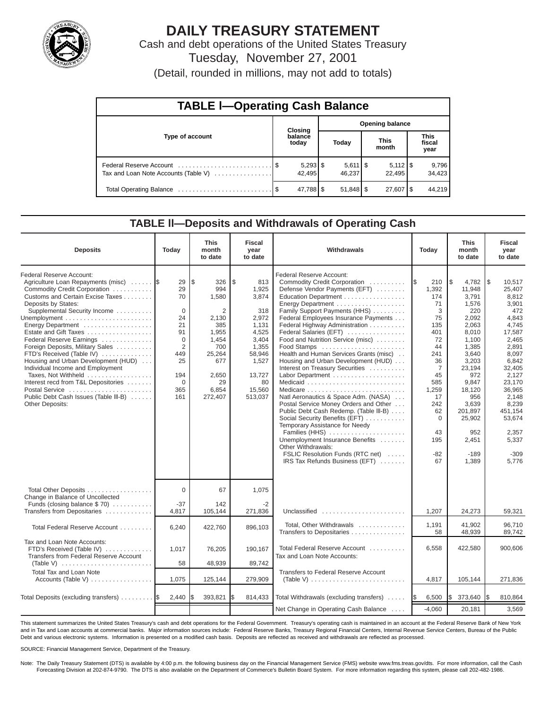

# **DAILY TREASURY STATEMENT**

Cash and debt operations of the United States Treasury Tuesday, November 27, 2001

(Detail, rounded in millions, may not add to totals)

| <b>TABLE I-Operating Cash Balance</b> |  |                      |                        |                              |  |                              |  |                               |  |  |
|---------------------------------------|--|----------------------|------------------------|------------------------------|--|------------------------------|--|-------------------------------|--|--|
|                                       |  | <b>Closing</b>       | <b>Opening balance</b> |                              |  |                              |  |                               |  |  |
| Type of account                       |  | balance<br>today     |                        | Today                        |  | <b>This</b><br>month         |  | <b>This</b><br>fiscal<br>year |  |  |
| Tax and Loan Note Accounts (Table V)  |  | $5,293$ \$<br>42.495 |                        | $5,611$ $\sqrt{5}$<br>46.237 |  | $5,112$ $\sqrt{5}$<br>22.495 |  | 9,796<br>34,423               |  |  |
|                                       |  | 47,788 \$            |                        | $51,848$ $\frac{8}{3}$       |  | $27,607$ $\frac{8}{3}$       |  | 44.219                        |  |  |

#### **TABLE ll—Deposits and Withdrawals of Operating Cash**

| <b>Deposits</b>                                                                                                                                                                                                                                                                                                                                                                                                                                                                                                                                             | Today                                                                                                          | <b>This</b><br>month<br>to date                                                                                              | <b>Fiscal</b><br>year<br>to date                                                                                                        | Withdrawals<br>Today                                                                                                                                                                                                                                                                                                                                                                                                                                                                                                                                                                                                                                                                                                                                                                                                     |                                                                                                                                                                                        | <b>This</b><br>month<br>to date                                                                                                                                                                                            | <b>Fiscal</b><br>year<br>to date                                                                                                                                                                                                    |
|-------------------------------------------------------------------------------------------------------------------------------------------------------------------------------------------------------------------------------------------------------------------------------------------------------------------------------------------------------------------------------------------------------------------------------------------------------------------------------------------------------------------------------------------------------------|----------------------------------------------------------------------------------------------------------------|------------------------------------------------------------------------------------------------------------------------------|-----------------------------------------------------------------------------------------------------------------------------------------|--------------------------------------------------------------------------------------------------------------------------------------------------------------------------------------------------------------------------------------------------------------------------------------------------------------------------------------------------------------------------------------------------------------------------------------------------------------------------------------------------------------------------------------------------------------------------------------------------------------------------------------------------------------------------------------------------------------------------------------------------------------------------------------------------------------------------|----------------------------------------------------------------------------------------------------------------------------------------------------------------------------------------|----------------------------------------------------------------------------------------------------------------------------------------------------------------------------------------------------------------------------|-------------------------------------------------------------------------------------------------------------------------------------------------------------------------------------------------------------------------------------|
| Federal Reserve Account:<br>Agriculture Loan Repayments (misc)<br>Commodity Credit Corporation<br>Customs and Certain Excise Taxes<br>Deposits by States:<br>Supplemental Security Income<br>Energy Department<br>Estate and Gift Taxes<br>Federal Reserve Earnings<br>Foreign Deposits, Military Sales<br>FTD's Received (Table IV)<br>Housing and Urban Development (HUD)<br>Individual Income and Employment<br>Taxes, Not Withheld<br>Interest recd from T&L Depositories<br>Postal Service<br>Public Debt Cash Issues (Table III-B)<br>Other Deposits: | 29<br>29<br>70<br>$\mathbf 0$<br>24<br>21<br>91<br>$\Omega$<br>2<br>449<br>25<br>194<br>$\Omega$<br>365<br>161 | l\$<br>326<br>994<br>1,580<br>2<br>2,130<br>385<br>1,955<br>1,454<br>700<br>25,264<br>677<br>2,650<br>29<br>6,854<br>272,407 | \$<br>813<br>1,925<br>3,874<br>318<br>2,972<br>1,131<br>4,525<br>3,404<br>1,355<br>58,946<br>1,527<br>13,727<br>80<br>15,560<br>513,037 | Federal Reserve Account:<br>Commodity Credit Corporation<br>Defense Vendor Payments (EFT)<br>Education Department<br>Energy Department<br>Family Support Payments (HHS)<br>Federal Employees Insurance Payments<br>Federal Highway Administration<br>Federal Salaries (EFT)<br>Food and Nutrition Service (misc)<br>Food Stamps<br>Health and Human Services Grants (misc)<br>Housing and Urban Development (HUD)<br>Interest on Treasury Securities<br>Labor Department<br>Natl Aeronautics & Space Adm. (NASA)<br>Postal Service Money Orders and Other<br>Public Debt Cash Redemp. (Table III-B)<br>Social Security Benefits (EFT)<br>Temporary Assistance for Needy<br>Families (HHS)<br>Unemployment Insurance Benefits<br>Other Withdrawals:<br>FSLIC Resolution Funds (RTC net)<br>IRS Tax Refunds Business (EFT) | 1\$<br>210<br>1,392<br>174<br>71<br>3<br>75<br>135<br>401<br>72<br>44<br>241<br>36<br>$\overline{7}$<br>45<br>585<br>1,259<br>17<br>242<br>62<br>$\mathbf 0$<br>43<br>195<br>-82<br>67 | 1\$<br>4,782<br>11,948<br>3,791<br>1,576<br>220<br>2,092<br>2,063<br>8,010<br>1,100<br>1,385<br>3,640<br>3,203<br>23,194<br>972<br>9,847<br>18,120<br>956<br>3,639<br>201,897<br>25,902<br>952<br>2,451<br>$-189$<br>1,389 | l\$<br>10,517<br>25,407<br>8,812<br>3,901<br>472<br>4,843<br>4.745<br>17,587<br>2,465<br>2,891<br>8,097<br>6,842<br>32,405<br>2,127<br>23,170<br>36,965<br>2.148<br>8,239<br>451,154<br>53.674<br>2.357<br>5,337<br>$-309$<br>5.776 |
| Total Other Deposits<br>Change in Balance of Uncollected<br>Funds (closing balance $$70$ )                                                                                                                                                                                                                                                                                                                                                                                                                                                                  | $\Omega$<br>$-37$                                                                                              | 67<br>142                                                                                                                    | 1,075<br>$-2$                                                                                                                           |                                                                                                                                                                                                                                                                                                                                                                                                                                                                                                                                                                                                                                                                                                                                                                                                                          |                                                                                                                                                                                        |                                                                                                                                                                                                                            |                                                                                                                                                                                                                                     |
| Transfers from Depositaries                                                                                                                                                                                                                                                                                                                                                                                                                                                                                                                                 | 4,817                                                                                                          | 105,144                                                                                                                      | 271,836                                                                                                                                 | Unclassified                                                                                                                                                                                                                                                                                                                                                                                                                                                                                                                                                                                                                                                                                                                                                                                                             | 1,207                                                                                                                                                                                  | 24,273                                                                                                                                                                                                                     | 59,321                                                                                                                                                                                                                              |
| Total Federal Reserve Account                                                                                                                                                                                                                                                                                                                                                                                                                                                                                                                               | 6,240                                                                                                          | 422,760                                                                                                                      | 896,103                                                                                                                                 | Total, Other Withdrawals<br>Transfers to Depositaries                                                                                                                                                                                                                                                                                                                                                                                                                                                                                                                                                                                                                                                                                                                                                                    | 1,191<br>58                                                                                                                                                                            | 41.902<br>48,939                                                                                                                                                                                                           | 96.710<br>89.742                                                                                                                                                                                                                    |
| Tax and Loan Note Accounts:<br>FTD's Received (Table IV)<br>Transfers from Federal Reserve Account                                                                                                                                                                                                                                                                                                                                                                                                                                                          | 1,017                                                                                                          | 76,205                                                                                                                       | 190,167                                                                                                                                 | Total Federal Reserve Account<br>Tax and Loan Note Accounts:                                                                                                                                                                                                                                                                                                                                                                                                                                                                                                                                                                                                                                                                                                                                                             | 6,558                                                                                                                                                                                  | 422,580                                                                                                                                                                                                                    | 900.606                                                                                                                                                                                                                             |
| (Table V) $\ldots \ldots \ldots \ldots \ldots \ldots \ldots \ldots$<br><b>Total Tax and Loan Note</b>                                                                                                                                                                                                                                                                                                                                                                                                                                                       | 58                                                                                                             | 48,939                                                                                                                       | 89,742                                                                                                                                  | Transfers to Federal Reserve Account                                                                                                                                                                                                                                                                                                                                                                                                                                                                                                                                                                                                                                                                                                                                                                                     |                                                                                                                                                                                        |                                                                                                                                                                                                                            |                                                                                                                                                                                                                                     |
| Accounts (Table V)                                                                                                                                                                                                                                                                                                                                                                                                                                                                                                                                          | 1,075                                                                                                          | 125,144                                                                                                                      | 279,909                                                                                                                                 | (Table V) $\ldots \ldots \ldots \ldots \ldots \ldots \ldots \ldots$                                                                                                                                                                                                                                                                                                                                                                                                                                                                                                                                                                                                                                                                                                                                                      | 4,817                                                                                                                                                                                  | 105,144                                                                                                                                                                                                                    | 271,836                                                                                                                                                                                                                             |
| Total Deposits (excluding transfers)  \$                                                                                                                                                                                                                                                                                                                                                                                                                                                                                                                    | 2,440                                                                                                          | 393,821                                                                                                                      | 814,433                                                                                                                                 | Total Withdrawals (excluding transfers)                                                                                                                                                                                                                                                                                                                                                                                                                                                                                                                                                                                                                                                                                                                                                                                  | 6,500<br><b>IS</b>                                                                                                                                                                     | I\$<br>373,640                                                                                                                                                                                                             | 810,864<br>IS.                                                                                                                                                                                                                      |
|                                                                                                                                                                                                                                                                                                                                                                                                                                                                                                                                                             |                                                                                                                |                                                                                                                              |                                                                                                                                         | Net Change in Operating Cash Balance                                                                                                                                                                                                                                                                                                                                                                                                                                                                                                                                                                                                                                                                                                                                                                                     | $-4,060$                                                                                                                                                                               | 20,181                                                                                                                                                                                                                     | 3,569                                                                                                                                                                                                                               |

This statement summarizes the United States Treasury's cash and debt operations for the Federal Government. Treasury's operating cash is maintained in an account at the Federal Reserve Bank of New York and in Tax and Loan accounts at commercial banks. Major information sources include: Federal Reserve Banks, Treasury Regional Financial Centers, Internal Revenue Service Centers, Bureau of the Public Debt and various electronic systems. Information is presented on a modified cash basis. Deposits are reflected as received and withdrawals are reflected as processed.

SOURCE: Financial Management Service, Department of the Treasury.

Note: The Daily Treasury Statement (DTS) is available by 4:00 p.m. the following business day on the Financial Management Service (FMS) website www.fms.treas.gov/dts. For more information, call the Cash Forecasting Division at 202-874-9790. The DTS is also available on the Department of Commerce's Bulletin Board System. For more information regarding this system, please call 202-482-1986.